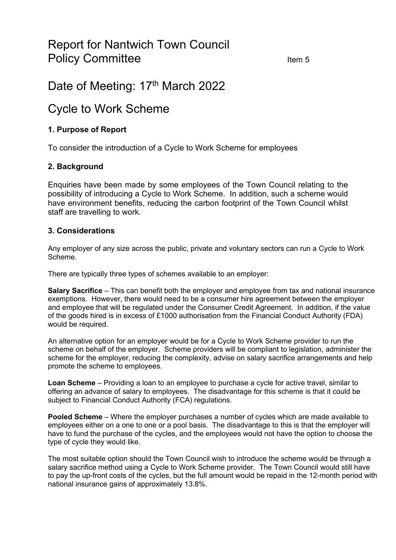# Report for Nantwich Town Council Policy Committee Item 5

# Date of Meeting: 17<sup>th</sup> March 2022

# Cycle to Work Scheme

# **1. Purpose of Report**

To consider the introduction of a Cycle to Work Scheme for employees

# **2. Background**

Enquiries have been made by some employees of the Town Council relating to the possibility of introducing a Cycle to Work Scheme. In addition, such a scheme would have environment benefits, reducing the carbon footprint of the Town Council whilst staff are travelling to work.

#### **3. Considerations**

Any employer of any size across the public, private and voluntary sectors can run a Cycle to Work Scheme.

There are typically three types of schemes available to an employer:

**Salary Sacrifice** – This can benefit both the employer and employee from tax and national insurance exemptions. However, there would need to be a consumer hire agreement between the employer and employee that will be regulated under the Consumer Credit Agreement. In addition, if the value of the goods hired is in excess of £1000 authorisation from the Financial Conduct Authority (FDA) would be required.

An alternative option for an employer would be for a Cycle to Work Scheme provider to run the scheme on behalf of the employer. Scheme providers will be compliant to legislation, administer the scheme for the employer, reducing the complexity, advise on salary sacrifice arrangements and help promote the scheme to employees.

**Loan Scheme** – Providing a loan to an employee to purchase a cycle for active travel, similar to offering an advance of salary to employees. The disadvantage for this scheme is that it could be subject to Financial Conduct Authority (FCA) regulations.

**Pooled Scheme** – Where the employer purchases a number of cycles which are made available to employees either on a one to one or a pool basis. The disadvantage to this is that the employer will have to fund the purchase of the cycles, and the employees would not have the option to choose the type of cycle they would like.

The most suitable option should the Town Council wish to introduce the scheme would be through a salary sacrifice method using a Cycle to Work Scheme provider. The Town Council would still have to pay the up-front costs of the cycles, but the full amount would be repaid in the 12-month period with national insurance gains of approximately 13.8%.